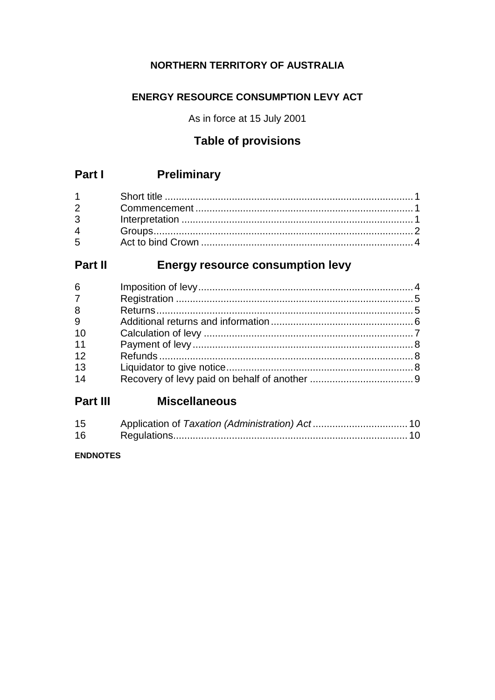#### NORTHERN TERRITORY OF AUSTRALIA

#### **ENERGY RESOURCE CONSUMPTION LEVY ACT**

As in force at 15 July 2001

## **Table of provisions**

#### Preliminary Part I

| $1 \quad \blacksquare$ |  |
|------------------------|--|
|                        |  |
|                        |  |
| $4\overline{ }$        |  |
| $5^{\circ}$            |  |

#### Part II **Energy resource consumption levy**

| 6              |  |
|----------------|--|
| 7 <sup>7</sup> |  |
| 8              |  |
| 9              |  |
| 10             |  |
| 11             |  |
| 12             |  |
| 13             |  |
| 14             |  |
|                |  |

#### Part III Miscellaneous

| 15 |  |
|----|--|
| 16 |  |

#### **ENDNOTES**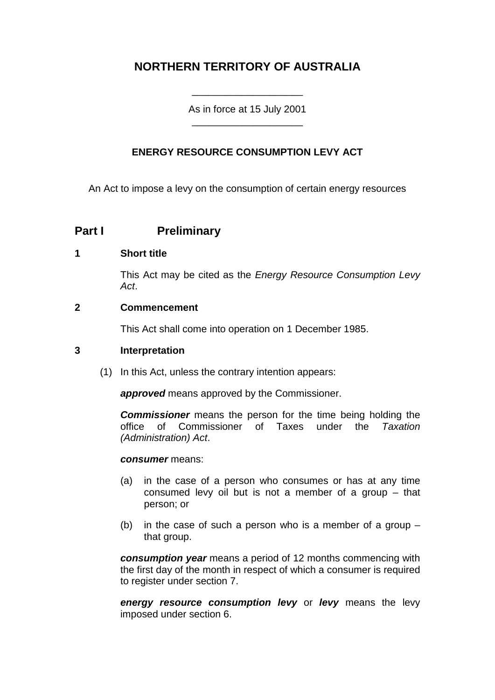## **NORTHERN TERRITORY OF AUSTRALIA**

As in force at 15 July 2001 \_\_\_\_\_\_\_\_\_\_\_\_\_\_\_\_\_\_\_\_

\_\_\_\_\_\_\_\_\_\_\_\_\_\_\_\_\_\_\_\_

#### **ENERGY RESOURCE CONSUMPTION LEVY ACT**

An Act to impose a levy on the consumption of certain energy resources

#### **Part I Preliminary**

#### **1 Short title**

This Act may be cited as the *Energy Resource Consumption Levy Act*.

#### **2 Commencement**

This Act shall come into operation on 1 December 1985.

#### **3 Interpretation**

(1) In this Act, unless the contrary intention appears:

*approved* means approved by the Commissioner.

**Commissioner** means the person for the time being holding the office of Commissioner of Taxes under the Taxation office of Commissioner of Taxes under the *(Administration) Act*.

#### *consumer* means:

- (a) in the case of a person who consumes or has at any time consumed levy oil but is not a member of a group – that person; or
- (b) in the case of such a person who is a member of a group  $$ that group.

*consumption year* means a period of 12 months commencing with the first day of the month in respect of which a consumer is required to register under section 7.

*energy resource consumption levy* or *levy* means the levy imposed under section 6.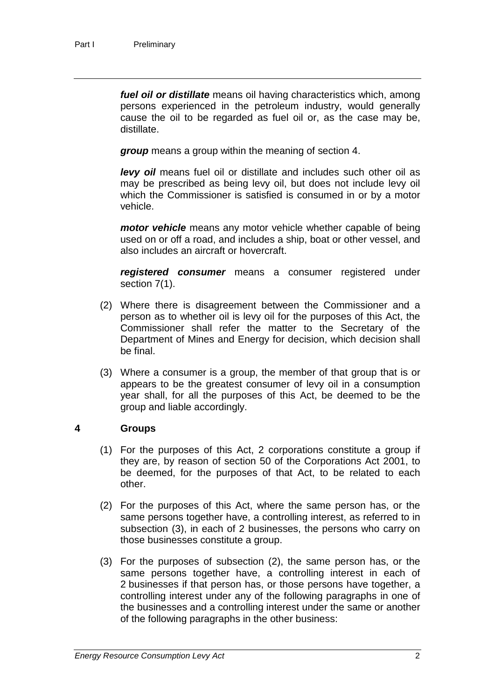*fuel oil or distillate* means oil having characteristics which, among persons experienced in the petroleum industry, would generally cause the oil to be regarded as fuel oil or, as the case may be, distillate.

*group* means a group within the meaning of section 4.

*levy oil* means fuel oil or distillate and includes such other oil as may be prescribed as being levy oil, but does not include levy oil which the Commissioner is satisfied is consumed in or by a motor vehicle.

*motor vehicle* means any motor vehicle whether capable of being used on or off a road, and includes a ship, boat or other vessel, and also includes an aircraft or hovercraft.

*registered consumer* means a consumer registered under section 7(1).

- (2) Where there is disagreement between the Commissioner and a person as to whether oil is levy oil for the purposes of this Act, the Commissioner shall refer the matter to the Secretary of the Department of Mines and Energy for decision, which decision shall be final.
- (3) Where a consumer is a group, the member of that group that is or appears to be the greatest consumer of levy oil in a consumption year shall, for all the purposes of this Act, be deemed to be the group and liable accordingly.

#### **4 Groups**

- (1) For the purposes of this Act, 2 corporations constitute a group if they are, by reason of section 50 of the Corporations Act 2001, to be deemed, for the purposes of that Act, to be related to each other.
- (2) For the purposes of this Act, where the same person has, or the same persons together have, a controlling interest, as referred to in subsection (3), in each of 2 businesses, the persons who carry on those businesses constitute a group.
- (3) For the purposes of subsection (2), the same person has, or the same persons together have, a controlling interest in each of 2 businesses if that person has, or those persons have together, a controlling interest under any of the following paragraphs in one of the businesses and a controlling interest under the same or another of the following paragraphs in the other business: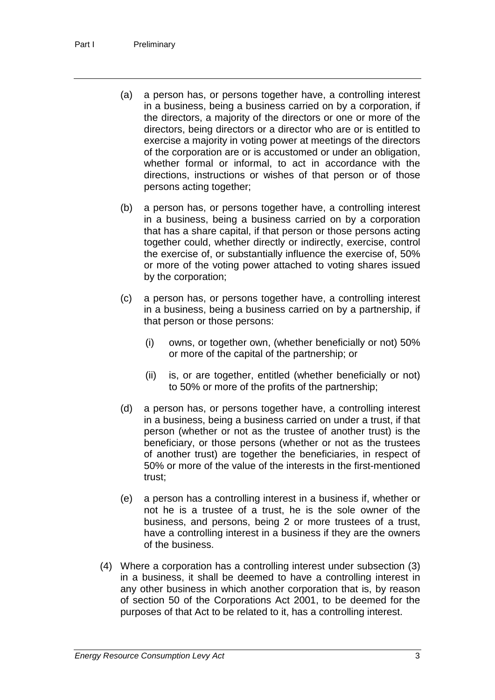- (a) a person has, or persons together have, a controlling interest in a business, being a business carried on by a corporation, if the directors, a majority of the directors or one or more of the directors, being directors or a director who are or is entitled to exercise a majority in voting power at meetings of the directors of the corporation are or is accustomed or under an obligation, whether formal or informal, to act in accordance with the directions, instructions or wishes of that person or of those persons acting together;
- (b) a person has, or persons together have, a controlling interest in a business, being a business carried on by a corporation that has a share capital, if that person or those persons acting together could, whether directly or indirectly, exercise, control the exercise of, or substantially influence the exercise of, 50% or more of the voting power attached to voting shares issued by the corporation;
- (c) a person has, or persons together have, a controlling interest in a business, being a business carried on by a partnership, if that person or those persons:
	- (i) owns, or together own, (whether beneficially or not) 50% or more of the capital of the partnership; or
	- (ii) is, or are together, entitled (whether beneficially or not) to 50% or more of the profits of the partnership;
- (d) a person has, or persons together have, a controlling interest in a business, being a business carried on under a trust, if that person (whether or not as the trustee of another trust) is the beneficiary, or those persons (whether or not as the trustees of another trust) are together the beneficiaries, in respect of 50% or more of the value of the interests in the first-mentioned trust;
- (e) a person has a controlling interest in a business if, whether or not he is a trustee of a trust, he is the sole owner of the business, and persons, being 2 or more trustees of a trust, have a controlling interest in a business if they are the owners of the business.
- (4) Where a corporation has a controlling interest under subsection (3) in a business, it shall be deemed to have a controlling interest in any other business in which another corporation that is, by reason of section 50 of the Corporations Act 2001, to be deemed for the purposes of that Act to be related to it, has a controlling interest.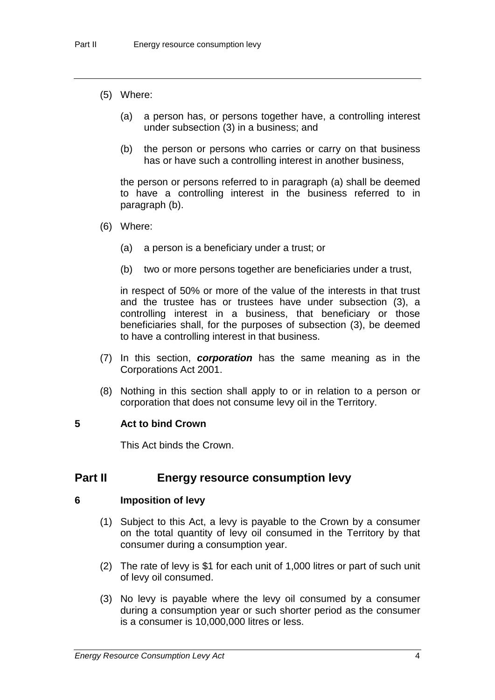- (5) Where:
	- (a) a person has, or persons together have, a controlling interest under subsection (3) in a business; and
	- (b) the person or persons who carries or carry on that business has or have such a controlling interest in another business,

the person or persons referred to in paragraph (a) shall be deemed to have a controlling interest in the business referred to in paragraph (b).

- (6) Where:
	- (a) a person is a beneficiary under a trust; or
	- (b) two or more persons together are beneficiaries under a trust,

in respect of 50% or more of the value of the interests in that trust and the trustee has or trustees have under subsection (3), a controlling interest in a business, that beneficiary or those beneficiaries shall, for the purposes of subsection (3), be deemed to have a controlling interest in that business.

- (7) In this section, *corporation* has the same meaning as in the Corporations Act 2001.
- (8) Nothing in this section shall apply to or in relation to a person or corporation that does not consume levy oil in the Territory.

#### **5 Act to bind Crown**

This Act binds the Crown.

#### **Part II Energy resource consumption levy**

#### **6 Imposition of levy**

- (1) Subject to this Act, a levy is payable to the Crown by a consumer on the total quantity of levy oil consumed in the Territory by that consumer during a consumption year.
- (2) The rate of levy is \$1 for each unit of 1,000 litres or part of such unit of levy oil consumed.
- (3) No levy is payable where the levy oil consumed by a consumer during a consumption year or such shorter period as the consumer is a consumer is 10,000,000 litres or less.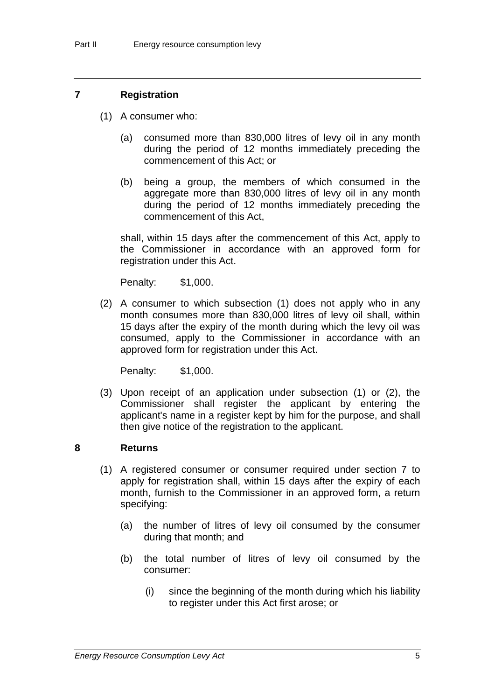#### **7 Registration**

- (1) A consumer who:
	- (a) consumed more than 830,000 litres of levy oil in any month during the period of 12 months immediately preceding the commencement of this Act; or
	- (b) being a group, the members of which consumed in the aggregate more than 830,000 litres of levy oil in any month during the period of 12 months immediately preceding the commencement of this Act,

shall, within 15 days after the commencement of this Act, apply to the Commissioner in accordance with an approved form for registration under this Act.

Penalty: \$1,000.

(2) A consumer to which subsection (1) does not apply who in any month consumes more than 830,000 litres of levy oil shall, within 15 days after the expiry of the month during which the levy oil was consumed, apply to the Commissioner in accordance with an approved form for registration under this Act.

Penalty: \$1,000.

(3) Upon receipt of an application under subsection (1) or (2), the Commissioner shall register the applicant by entering the applicant's name in a register kept by him for the purpose, and shall then give notice of the registration to the applicant.

#### **8 Returns**

- (1) A registered consumer or consumer required under section 7 to apply for registration shall, within 15 days after the expiry of each month, furnish to the Commissioner in an approved form, a return specifying:
	- (a) the number of litres of levy oil consumed by the consumer during that month; and
	- (b) the total number of litres of levy oil consumed by the consumer:
		- (i) since the beginning of the month during which his liability to register under this Act first arose; or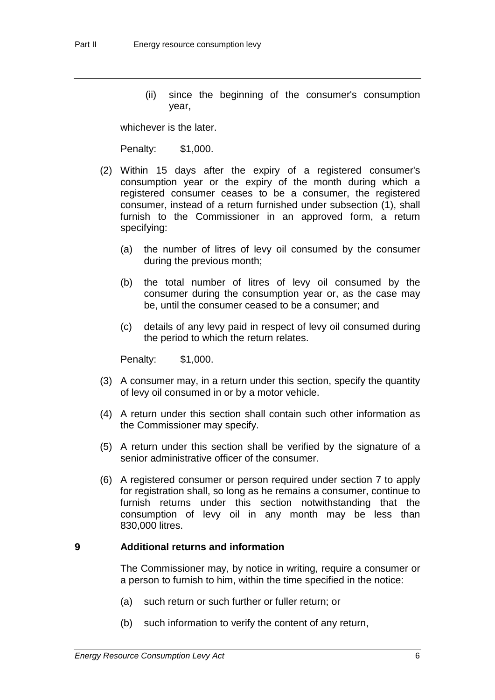(ii) since the beginning of the consumer's consumption year,

whichever is the later.

Penalty: \$1,000.

- (2) Within 15 days after the expiry of a registered consumer's consumption year or the expiry of the month during which a registered consumer ceases to be a consumer, the registered consumer, instead of a return furnished under subsection (1), shall furnish to the Commissioner in an approved form, a return specifying:
	- (a) the number of litres of levy oil consumed by the consumer during the previous month;
	- (b) the total number of litres of levy oil consumed by the consumer during the consumption year or, as the case may be, until the consumer ceased to be a consumer; and
	- (c) details of any levy paid in respect of levy oil consumed during the period to which the return relates.

Penalty: \$1,000.

- (3) A consumer may, in a return under this section, specify the quantity of levy oil consumed in or by a motor vehicle.
- (4) A return under this section shall contain such other information as the Commissioner may specify.
- (5) A return under this section shall be verified by the signature of a senior administrative officer of the consumer.
- (6) A registered consumer or person required under section 7 to apply for registration shall, so long as he remains a consumer, continue to furnish returns under this section notwithstanding that the consumption of levy oil in any month may be less than 830,000 litres.

#### **9 Additional returns and information**

The Commissioner may, by notice in writing, require a consumer or a person to furnish to him, within the time specified in the notice:

- (a) such return or such further or fuller return; or
- (b) such information to verify the content of any return,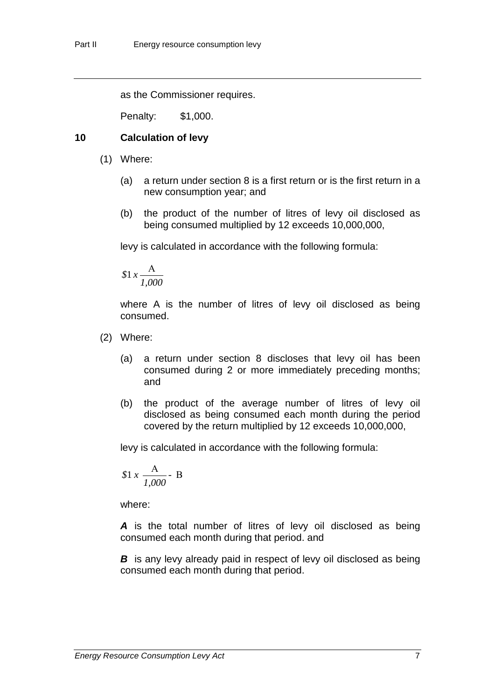as the Commissioner requires.

Penalty: \$1,000.

#### **10 Calculation of levy**

- (1) Where:
	- (a) a return under section 8 is a first return or is the first return in a new consumption year; and
	- (b) the product of the number of litres of levy oil disclosed as being consumed multiplied by 12 exceeds 10,000,000,

levy is calculated in accordance with the following formula:

$$
\$1 \, x \frac{\text{A}}{1,000}
$$

where A is the number of litres of levy oil disclosed as being consumed.

- (2) Where:
	- (a) a return under section 8 discloses that levy oil has been consumed during 2 or more immediately preceding months; and
	- (b) the product of the average number of litres of levy oil disclosed as being consumed each month during the period covered by the return multiplied by 12 exceeds 10,000,000,

levy is calculated in accordance with the following formula:

$$
1 x \frac{A}{1,000}
$$
 B

where:

*A* is the total number of litres of levy oil disclosed as being consumed each month during that period. and

*B* is any levy already paid in respect of levy oil disclosed as being consumed each month during that period.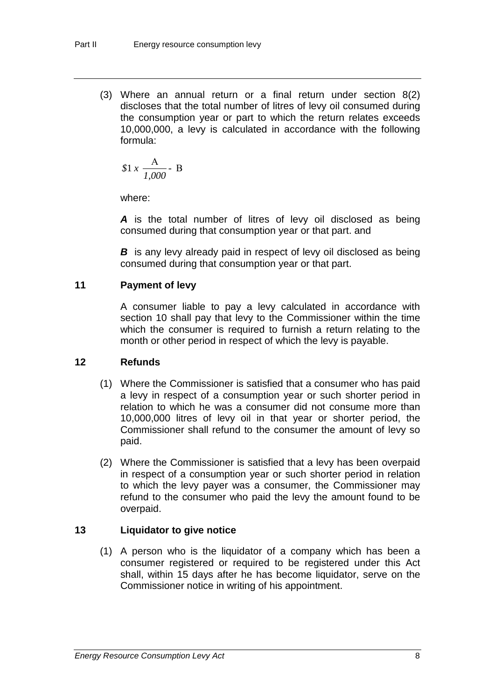(3) Where an annual return or a final return under section 8(2) discloses that the total number of litres of levy oil consumed during the consumption year or part to which the return relates exceeds 10,000,000, a levy is calculated in accordance with the following formula:

$$
1 \times \frac{A}{1,000}
$$
 B

where:

*A* is the total number of litres of levy oil disclosed as being consumed during that consumption year or that part. and

*B* is any levy already paid in respect of levy oil disclosed as being consumed during that consumption year or that part.

#### **11 Payment of levy**

A consumer liable to pay a levy calculated in accordance with section 10 shall pay that levy to the Commissioner within the time which the consumer is required to furnish a return relating to the month or other period in respect of which the levy is payable.

#### **12 Refunds**

- (1) Where the Commissioner is satisfied that a consumer who has paid a levy in respect of a consumption year or such shorter period in relation to which he was a consumer did not consume more than 10,000,000 litres of levy oil in that year or shorter period, the Commissioner shall refund to the consumer the amount of levy so paid.
- (2) Where the Commissioner is satisfied that a levy has been overpaid in respect of a consumption year or such shorter period in relation to which the levy payer was a consumer, the Commissioner may refund to the consumer who paid the levy the amount found to be overpaid.

#### **13 Liquidator to give notice**

(1) A person who is the liquidator of a company which has been a consumer registered or required to be registered under this Act shall, within 15 days after he has become liquidator, serve on the Commissioner notice in writing of his appointment.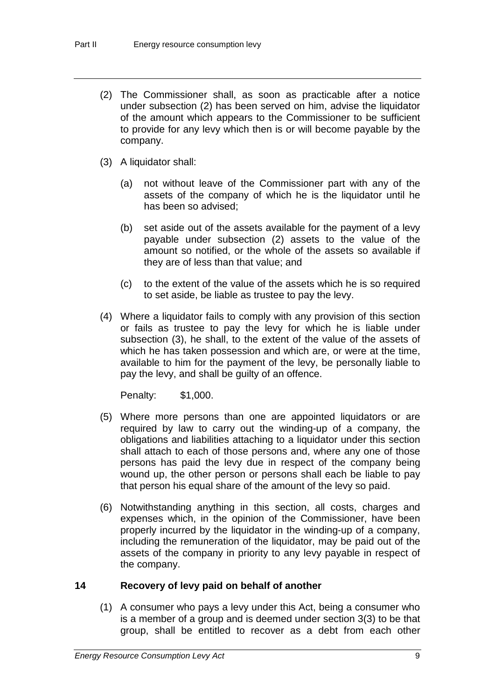- (2) The Commissioner shall, as soon as practicable after a notice under subsection (2) has been served on him, advise the liquidator of the amount which appears to the Commissioner to be sufficient to provide for any levy which then is or will become payable by the company.
- (3) A liquidator shall:
	- (a) not without leave of the Commissioner part with any of the assets of the company of which he is the liquidator until he has been so advised;
	- (b) set aside out of the assets available for the payment of a levy payable under subsection (2) assets to the value of the amount so notified, or the whole of the assets so available if they are of less than that value; and
	- (c) to the extent of the value of the assets which he is so required to set aside, be liable as trustee to pay the levy.
- (4) Where a liquidator fails to comply with any provision of this section or fails as trustee to pay the levy for which he is liable under subsection (3), he shall, to the extent of the value of the assets of which he has taken possession and which are, or were at the time, available to him for the payment of the levy, be personally liable to pay the levy, and shall be guilty of an offence.

Penalty: \$1,000.

- (5) Where more persons than one are appointed liquidators or are required by law to carry out the winding-up of a company, the obligations and liabilities attaching to a liquidator under this section shall attach to each of those persons and, where any one of those persons has paid the levy due in respect of the company being wound up, the other person or persons shall each be liable to pay that person his equal share of the amount of the levy so paid.
- (6) Notwithstanding anything in this section, all costs, charges and expenses which, in the opinion of the Commissioner, have been properly incurred by the liquidator in the winding-up of a company, including the remuneration of the liquidator, may be paid out of the assets of the company in priority to any levy payable in respect of the company.

#### **14 Recovery of levy paid on behalf of another**

(1) A consumer who pays a levy under this Act, being a consumer who is a member of a group and is deemed under section 3(3) to be that group, shall be entitled to recover as a debt from each other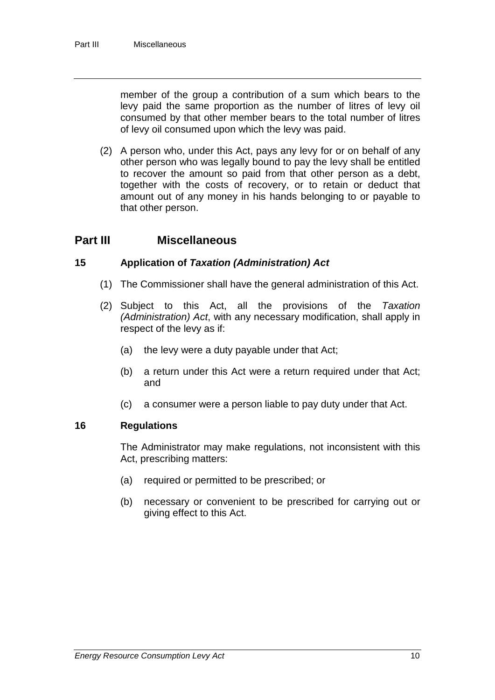member of the group a contribution of a sum which bears to the levy paid the same proportion as the number of litres of levy oil consumed by that other member bears to the total number of litres of levy oil consumed upon which the levy was paid.

(2) A person who, under this Act, pays any levy for or on behalf of any other person who was legally bound to pay the levy shall be entitled to recover the amount so paid from that other person as a debt, together with the costs of recovery, or to retain or deduct that amount out of any money in his hands belonging to or payable to that other person.

#### **Part III Miscellaneous**

#### **15 Application of** *Taxation (Administration) Act*

- (1) The Commissioner shall have the general administration of this Act.
- (2) Subject to this Act, all the provisions of the *Taxation (Administration) Act*, with any necessary modification, shall apply in respect of the levy as if:
	- (a) the levy were a duty payable under that Act;
	- (b) a return under this Act were a return required under that Act; and
	- (c) a consumer were a person liable to pay duty under that Act.

#### **16 Regulations**

The Administrator may make regulations, not inconsistent with this Act, prescribing matters:

- (a) required or permitted to be prescribed; or
- (b) necessary or convenient to be prescribed for carrying out or giving effect to this Act.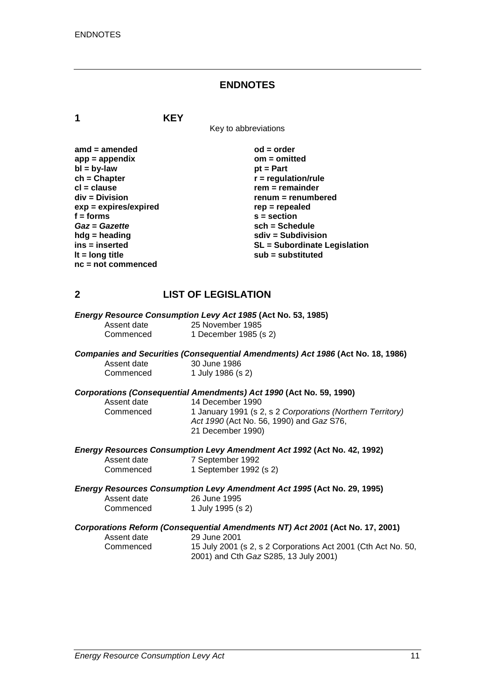#### **ENDNOTES**

**1 KEY**

Key to abbreviations

| $amd = amended$         | $od = order$                        |
|-------------------------|-------------------------------------|
| $app = appendix$        | $om = omitted$                      |
| $bl = by-law$           | $pt = Part$                         |
| $ch = Chapter$          | $r =$ regulation/rule               |
| $cl = clause$           | $rem = remainder$                   |
| $div = Division$        | renum = renumbered                  |
| $exp = expires/expired$ | $rep = repeated$                    |
| $f =$ forms             | $s = section$                       |
| Gaz = Gazette           | $sch = Schedule$                    |
| $h dg =$ heading        | $sdiv = Subdivision$                |
| ins = inserted          | <b>SL</b> = Subordinate Legislation |
| It = $long$ title       | sub = substituted                   |
| $nc = not commenced$    |                                     |

#### **2 LIST OF LEGISLATION**

*Energy Resource Consumption Levy Act 1985* **(Act No. 53, 1985)**

Assent date 25 November 1985<br>Commenced 1 December 1985 (

## *Companies and Securities (Consequential Amendments) Act 1986* **(Act No. 18, 1986)** Assent date 30 June 1986<br>Commenced 1 July 1986 (s

1 December 1985 (s 2)

1 July 1986 (s 2)

# *Corporations (Consequential Amendments) Act 1990* **(Act No. 59, 1990)**

Assent date 14 December 1990<br>Commenced 1 January 1991 (s 2 1 January 1991 (s 2, s 2 *Corporations (Northern Territory) Act 1990* (Act No. 56, 1990) and *Gaz* S76, 21 December 1990)

|             | <b>Energy Resources Consumption Levy Amendment Act 1992 (Act No. 42, 1992)</b> |  |
|-------------|--------------------------------------------------------------------------------|--|
| Assent date | 7 September 1992                                                               |  |
| Commenced   | 1 September 1992 (s 2)                                                         |  |

*Energy Resources Consumption Levy Amendment Act 1995* **(Act No. 29, 1995)** Assent date 26 June 1995<br>Commenced 1 July 1995 (s 1 July 1995 (s 2)

#### *Corporations Reform (Consequential Amendments NT) Act 2001* **(Act No. 17, 2001)**

| Assent date | 29 June 2001         |
|-------------|----------------------|
| Commenced   | 15 July 2001         |
|             | $20041$ and $C_{11}$ |

Commenced 15 July 2001 (s 2, s 2 Corporations Act 2001 (Cth Act No. 50, 2001) and Cth *Gaz* S285, 13 July 2001)